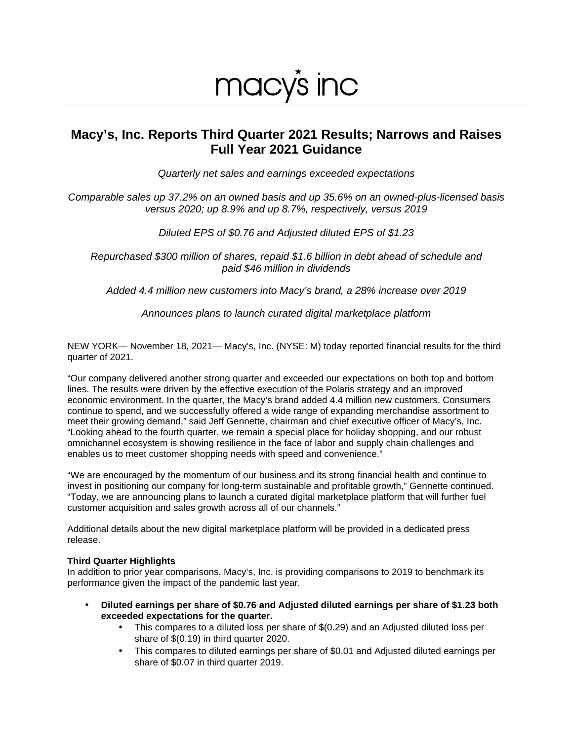# macy's inc

# **Macy's, Inc. Reports Third Quarter 2021 Results; Narrows and Raises Full Year 2021 Guidance**

Quarterly net sales and earnings exceeded expectations

Comparable sales up 37.2% on an owned basis and up 35.6% on an owned-plus-licensed basis versus 2020; up 8.9% and up 8.7%, respectively, versus 2019

Diluted EPS of \$0.76 and Adjusted diluted EPS of \$1.23

Repurchased \$300 million of shares, repaid \$1.6 billion in debt ahead of schedule and paid \$46 million in dividends

Added 4.4 million new customers into Macy's brand, a 28% increase over 2019

Announces plans to launch curated digital marketplace platform

NEW YORK— November 18, 2021— Macy's, Inc. (NYSE: M) today reported financial results for the third quarter of 2021.

"Our company delivered another strong quarter and exceeded our expectations on both top and bottom lines. The results were driven by the effective execution of the Polaris strategy and an improved economic environment. In the quarter, the Macy's brand added 4.4 million new customers. Consumers continue to spend, and we successfully offered a wide range of expanding merchandise assortment to meet their growing demand," said Jeff Gennette, chairman and chief executive officer of Macy's, Inc. "Looking ahead to the fourth quarter, we remain a special place for holiday shopping, and our robust omnichannel ecosystem is showing resilience in the face of labor and supply chain challenges and enables us to meet customer shopping needs with speed and convenience."

"We are encouraged by the momentum of our business and its strong financial health and continue to invest in positioning our company for long-term sustainable and profitable growth," Gennette continued. "Today, we are announcing plans to launch a curated digital marketplace platform that will further fuel customer acquisition and sales growth across all of our channels."

Additional details about the new digital marketplace platform will be provided in a dedicated press release.

#### **Third Quarter Highlights**

In addition to prior year comparisons, Macy's, Inc. is providing comparisons to 2019 to benchmark its performance given the impact of the pandemic last year.

- **Diluted earnings per share of \$0.76 and Adjusted diluted earnings per share of \$1.23 both exceeded expectations for the quarter.** 
	- This compares to a diluted loss per share of \$(0.29) and an Adjusted diluted loss per share of \$(0.19) in third quarter 2020.
	- This compares to diluted earnings per share of \$0.01 and Adjusted diluted earnings per share of \$0.07 in third quarter 2019.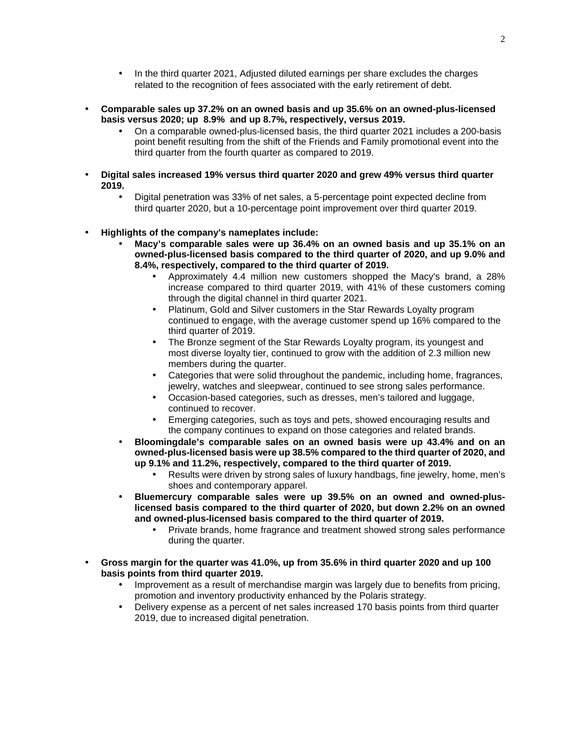- In the third quarter 2021, Adjusted diluted earnings per share excludes the charges related to the recognition of fees associated with the early retirement of debt.
- **Comparable sales up 37.2% on an owned basis and up 35.6% on an owned-plus-licensed basis versus 2020; up 8.9% and up 8.7%, respectively, versus 2019.** 
	- On a comparable owned-plus-licensed basis, the third quarter 2021 includes a 200-basis point benefit resulting from the shift of the Friends and Family promotional event into the third quarter from the fourth quarter as compared to 2019.
- **Digital sales increased 19% versus third quarter 2020 and grew 49% versus third quarter 2019.**
	- Digital penetration was 33% of net sales, a 5-percentage point expected decline from third quarter 2020, but a 10-percentage point improvement over third quarter 2019.
- **Highlights of the company's nameplates include:** 
	- **Macy's comparable sales were up 36.4% on an owned basis and up 35.1% on an owned-plus-licensed basis compared to the third quarter of 2020, and up 9.0% and 8.4%, respectively, compared to the third quarter of 2019.**
		- Approximately 4.4 million new customers shopped the Macy's brand, a 28% increase compared to third quarter 2019, with 41% of these customers coming through the digital channel in third quarter 2021.
		- Platinum, Gold and Silver customers in the Star Rewards Loyalty program continued to engage, with the average customer spend up 16% compared to the third quarter of 2019.
		- The Bronze segment of the Star Rewards Loyalty program, its youngest and most diverse loyalty tier, continued to grow with the addition of 2.3 million new members during the quarter.
		- Categories that were solid throughout the pandemic, including home, fragrances, jewelry, watches and sleepwear, continued to see strong sales performance.
		- Occasion-based categories, such as dresses, men's tailored and luggage, continued to recover.
		- Emerging categories, such as toys and pets, showed encouraging results and the company continues to expand on those categories and related brands.
	- **Bloomingdale's comparable sales on an owned basis were up 43.4% and on an owned-plus-licensed basis were up 38.5% compared to the third quarter of 2020, and up 9.1% and 11.2%, respectively, compared to the third quarter of 2019.** 
		- Results were driven by strong sales of luxury handbags, fine jewelry, home, men's shoes and contemporary apparel.
	- **Bluemercury comparable sales were up 39.5% on an owned and owned-pluslicensed basis compared to the third quarter of 2020, but down 2.2% on an owned and owned-plus-licensed basis compared to the third quarter of 2019.**
		- Private brands, home fragrance and treatment showed strong sales performance during the quarter.
- **Gross margin for the quarter was 41.0%, up from 35.6% in third quarter 2020 and up 100 basis points from third quarter 2019.**
	- Improvement as a result of merchandise margin was largely due to benefits from pricing, promotion and inventory productivity enhanced by the Polaris strategy.
	- Delivery expense as a percent of net sales increased 170 basis points from third quarter 2019, due to increased digital penetration.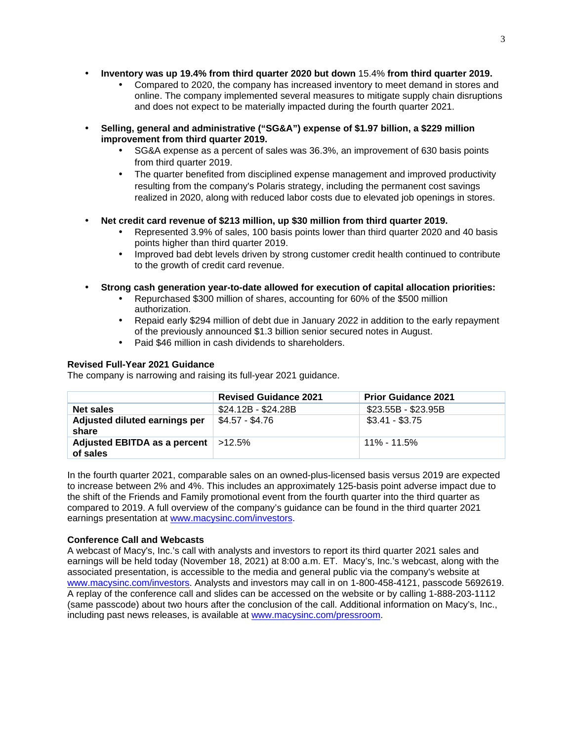- **Inventory was up 19.4% from third quarter 2020 but down** 15.4% **from third quarter 2019.**
	- Compared to 2020, the company has increased inventory to meet demand in stores and online. The company implemented several measures to mitigate supply chain disruptions and does not expect to be materially impacted during the fourth quarter 2021.
- **Selling, general and administrative ("SG&A") expense of \$1.97 billion, a \$229 million improvement from third quarter 2019.** 
	- SG&A expense as a percent of sales was 36.3%, an improvement of 630 basis points from third quarter 2019.
	- The quarter benefited from disciplined expense management and improved productivity resulting from the company's Polaris strategy, including the permanent cost savings realized in 2020, along with reduced labor costs due to elevated job openings in stores.

#### • **Net credit card revenue of \$213 million, up \$30 million from third quarter 2019.**

- Represented 3.9% of sales, 100 basis points lower than third quarter 2020 and 40 basis points higher than third quarter 2019.
- Improved bad debt levels driven by strong customer credit health continued to contribute to the growth of credit card revenue.
- **Strong cash generation year-to-date allowed for execution of capital allocation priorities:**
	- Repurchased \$300 million of shares, accounting for 60% of the \$500 million authorization.
	- Repaid early \$294 million of debt due in January 2022 in addition to the early repayment of the previously announced \$1.3 billion senior secured notes in August.
	- Paid \$46 million in cash dividends to shareholders.

#### **Revised Full-Year 2021 Guidance**

The company is narrowing and raising its full-year 2021 guidance.

|                                                   | <b>Revised Guidance 2021</b> | <b>Prior Guidance 2021</b> |
|---------------------------------------------------|------------------------------|----------------------------|
| Net sales                                         | \$24.12B - \$24.28B          | \$23.55B - \$23.95B        |
| Adjusted diluted earnings per<br>share            | \$4.57 - \$4.76              | $$3.41 - $3.75$            |
| Adjusted EBITDA as a percent   >12.5%<br>of sales |                              | <u>11% - 11.5%</u>         |

In the fourth quarter 2021, comparable sales on an owned-plus-licensed basis versus 2019 are expected to increase between 2% and 4%. This includes an approximately 125-basis point adverse impact due to the shift of the Friends and Family promotional event from the fourth quarter into the third quarter as compared to 2019. A full overview of the company's guidance can be found in the third quarter 2021 earnings presentation at www.macysinc.com/investors.

#### **Conference Call and Webcasts**

A webcast of Macy's, Inc.'s call with analysts and investors to report its third quarter 2021 sales and earnings will be held today (November 18, 2021) at 8:00 a.m. ET. Macy's, Inc.'s webcast, along with the associated presentation, is accessible to the media and general public via the company's website at www.macysinc.com/investors. Analysts and investors may call in on 1-800-458-4121, passcode 5692619. A replay of the conference call and slides can be accessed on the website or by calling 1-888-203-1112 (same passcode) about two hours after the conclusion of the call. Additional information on Macy's, Inc., including past news releases, is available at [www.macysinc.com/pressroom.](http://www.macysinc.com/pressroom)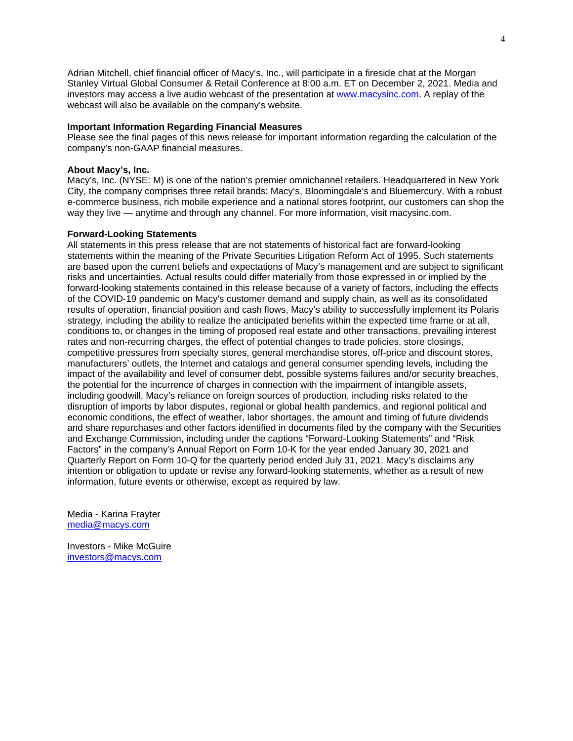Adrian Mitchell, chief financial officer of Macy's, Inc., will participate in a fireside chat at the Morgan Stanley Virtual Global Consumer & Retail Conference at 8:00 a.m. ET on December 2, 2021. Media and investors may access a live audio webcast of the presentation at [www.macysinc.com.](http://www.macysinc.com/) A replay of the webcast will also be available on the company's website.

#### **Important Information Regarding Financial Measures**

Please see the final pages of this news release for important information regarding the calculation of the company's non-GAAP financial measures.

#### **About Macy's, Inc.**

Macy's, Inc. (NYSE: M) is one of the nation's premier omnichannel retailers. Headquartered in New York City, the company comprises three retail brands: Macy's, Bloomingdale's and Bluemercury. With a robust e-commerce business, rich mobile experience and a national stores footprint, our customers can shop the way they live — anytime and through any channel. For more information, visit macysinc.com.

#### **Forward-Looking Statements**

All statements in this press release that are not statements of historical fact are forward-looking statements within the meaning of the Private Securities Litigation Reform Act of 1995. Such statements are based upon the current beliefs and expectations of Macy's management and are subject to significant risks and uncertainties. Actual results could differ materially from those expressed in or implied by the forward-looking statements contained in this release because of a variety of factors, including the effects of the COVID-19 pandemic on Macy's customer demand and supply chain, as well as its consolidated results of operation, financial position and cash flows, Macy's ability to successfully implement its Polaris strategy, including the ability to realize the anticipated benefits within the expected time frame or at all, conditions to, or changes in the timing of proposed real estate and other transactions, prevailing interest rates and non-recurring charges, the effect of potential changes to trade policies, store closings, competitive pressures from specialty stores, general merchandise stores, off-price and discount stores, manufacturers' outlets, the Internet and catalogs and general consumer spending levels, including the impact of the availability and level of consumer debt, possible systems failures and/or security breaches, the potential for the incurrence of charges in connection with the impairment of intangible assets, including goodwill, Macy's reliance on foreign sources of production, including risks related to the disruption of imports by labor disputes, regional or global health pandemics, and regional political and economic conditions, the effect of weather, labor shortages, the amount and timing of future dividends and share repurchases and other factors identified in documents filed by the company with the Securities and Exchange Commission, including under the captions "Forward-Looking Statements" and "Risk Factors" in the company's Annual Report on Form 10-K for the year ended January 30, 2021 and Quarterly Report on Form 10-Q for the quarterly period ended July 31, 2021. Macy's disclaims any intention or obligation to update or revise any forward-looking statements, whether as a result of new information, future events or otherwise, except as required by law.

Media - Karina Frayter [media@macys.com](mailto:media@macys.com)

Investors - Mike McGuire [investors@macys.com](mailto:investors@macys.com)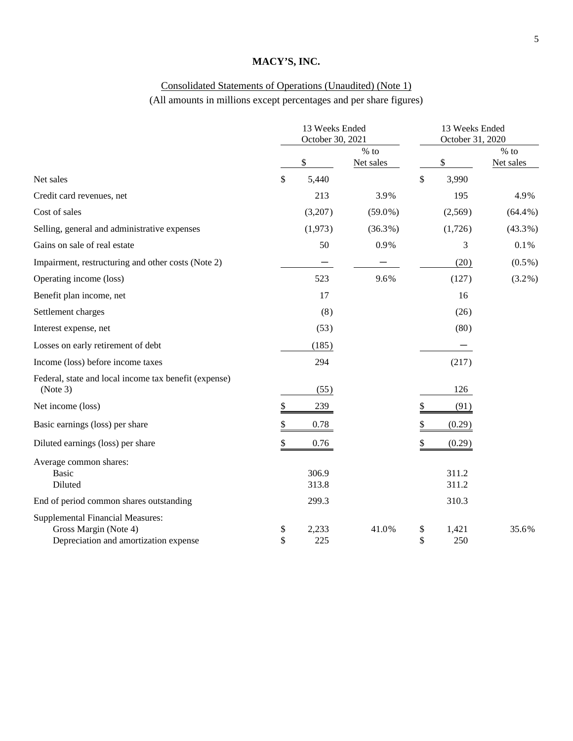# Consolidated Statements of Operations (Unaudited) (Note 1) (All amounts in millions except percentages and per share figures)

|                                                                                                           | 13 Weeks Ended<br>October 30, 2021 |                |                     |          | 13 Weeks Ended<br>October 31, 2020 |                     |  |  |
|-----------------------------------------------------------------------------------------------------------|------------------------------------|----------------|---------------------|----------|------------------------------------|---------------------|--|--|
|                                                                                                           |                                    | \$             | $%$ to<br>Net sales |          | \$                                 | $%$ to<br>Net sales |  |  |
| Net sales                                                                                                 | \$                                 | 5,440          |                     | \$       | 3,990                              |                     |  |  |
| Credit card revenues, net                                                                                 |                                    | 213            | 3.9%                |          | 195                                | 4.9%                |  |  |
| Cost of sales                                                                                             |                                    | (3,207)        | $(59.0\%)$          |          | (2,569)                            | $(64.4\%)$          |  |  |
| Selling, general and administrative expenses                                                              |                                    | (1,973)        | $(36.3\%)$          |          | (1,726)                            | $(43.3\%)$          |  |  |
| Gains on sale of real estate                                                                              |                                    | 50             | 0.9%                |          | 3                                  | 0.1%                |  |  |
| Impairment, restructuring and other costs (Note 2)                                                        |                                    |                |                     |          | (20)                               | $(0.5\%)$           |  |  |
| Operating income (loss)                                                                                   |                                    | 523            | 9.6%                |          | (127)                              | $(3.2\%)$           |  |  |
| Benefit plan income, net                                                                                  |                                    | 17             |                     |          | 16                                 |                     |  |  |
| Settlement charges                                                                                        |                                    | (8)            |                     |          | (26)                               |                     |  |  |
| Interest expense, net                                                                                     |                                    | (53)           |                     |          | (80)                               |                     |  |  |
| Losses on early retirement of debt                                                                        |                                    | (185)          |                     |          |                                    |                     |  |  |
| Income (loss) before income taxes                                                                         |                                    | 294            |                     |          | (217)                              |                     |  |  |
| Federal, state and local income tax benefit (expense)<br>(Note 3)                                         |                                    | (55)           |                     |          | 126                                |                     |  |  |
| Net income (loss)                                                                                         | \$                                 | 239            |                     | \$       | (91)                               |                     |  |  |
| Basic earnings (loss) per share                                                                           | \$                                 | 0.78           |                     | \$       | (0.29)                             |                     |  |  |
| Diluted earnings (loss) per share                                                                         | \$                                 | 0.76           |                     | \$       | (0.29)                             |                     |  |  |
| Average common shares:<br><b>Basic</b><br>Diluted                                                         |                                    | 306.9<br>313.8 |                     |          | 311.2<br>311.2                     |                     |  |  |
| End of period common shares outstanding                                                                   |                                    | 299.3          |                     |          | 310.3                              |                     |  |  |
| <b>Supplemental Financial Measures:</b><br>Gross Margin (Note 4)<br>Depreciation and amortization expense | \$<br>\$                           | 2,233<br>225   | 41.0%               | \$<br>\$ | 1,421<br>250                       | 35.6%               |  |  |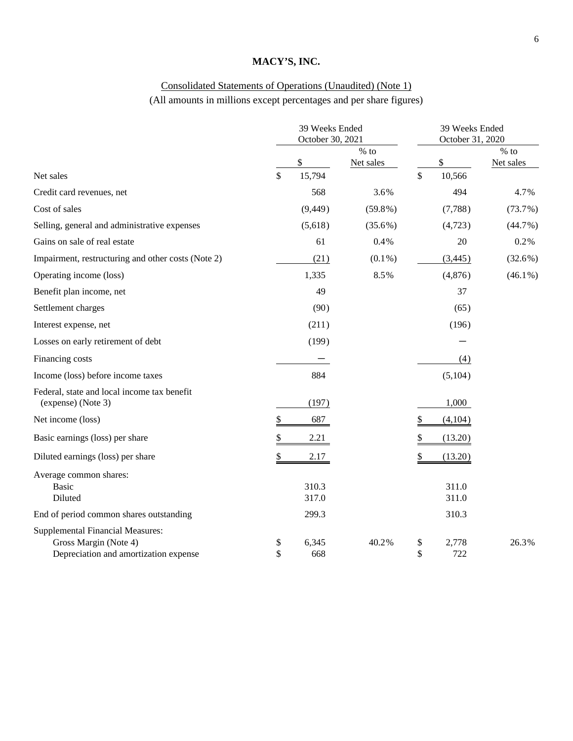# Consolidated Statements of Operations (Unaudited) (Note 1) (All amounts in millions except percentages and per share figures)

|                                                                                                           |                                                       | 39 Weeks Ended<br>October 30, 2021 |                     |          |                | 39 Weeks Ended<br>October 31, 2020 |
|-----------------------------------------------------------------------------------------------------------|-------------------------------------------------------|------------------------------------|---------------------|----------|----------------|------------------------------------|
|                                                                                                           |                                                       | \$                                 | $%$ to<br>Net sales |          | \$             | $%$ to<br>Net sales                |
| Net sales                                                                                                 | \$                                                    | 15,794                             |                     | \$       | 10,566         |                                    |
| Credit card revenues, net                                                                                 |                                                       | 568                                | 3.6%                |          | 494            | 4.7%                               |
| Cost of sales                                                                                             |                                                       | (9, 449)                           | $(59.8\%)$          |          | (7,788)        | (73.7%)                            |
| Selling, general and administrative expenses                                                              |                                                       | (5,618)                            | $(35.6\%)$          |          | (4,723)        | (44.7%)                            |
| Gains on sale of real estate                                                                              |                                                       | 61                                 | 0.4%                |          | $20\,$         | 0.2%                               |
| Impairment, restructuring and other costs (Note 2)                                                        |                                                       | (21)                               | $(0.1\%)$           |          | (3,445)        | (32.6%)                            |
| Operating income (loss)                                                                                   |                                                       | 1,335                              | 8.5%                |          | (4,876)        | $(46.1\%)$                         |
| Benefit plan income, net                                                                                  |                                                       | 49                                 |                     |          | 37             |                                    |
| Settlement charges                                                                                        |                                                       | (90)                               |                     |          | (65)           |                                    |
| Interest expense, net                                                                                     |                                                       | (211)                              |                     |          | (196)          |                                    |
| Losses on early retirement of debt                                                                        |                                                       | (199)                              |                     |          |                |                                    |
| Financing costs                                                                                           |                                                       |                                    |                     |          | (4)            |                                    |
| Income (loss) before income taxes                                                                         |                                                       | 884                                |                     |          | (5,104)        |                                    |
| Federal, state and local income tax benefit<br>(expense) (Note 3)                                         |                                                       | (197)                              |                     |          | 1,000          |                                    |
| Net income (loss)                                                                                         | $\overline{e}$                                        | 687                                |                     | \$       | (4,104)        |                                    |
| Basic earnings (loss) per share                                                                           | $\frac{\textcircled{\tiny{}}}{\textcircled{\tiny{}}}$ | 2.21                               |                     | \$       | (13.20)        |                                    |
| Diluted earnings (loss) per share                                                                         | $\underline{\$}$                                      | 2.17                               |                     | \$       | (13.20)        |                                    |
| Average common shares:<br><b>Basic</b><br>Diluted                                                         |                                                       | 310.3<br>317.0                     |                     |          | 311.0<br>311.0 |                                    |
| End of period common shares outstanding                                                                   |                                                       | 299.3                              |                     |          | 310.3          |                                    |
| <b>Supplemental Financial Measures:</b><br>Gross Margin (Note 4)<br>Depreciation and amortization expense | \$<br>\$                                              | 6,345<br>668                       | 40.2%               | \$<br>\$ | 2,778<br>722   | 26.3%                              |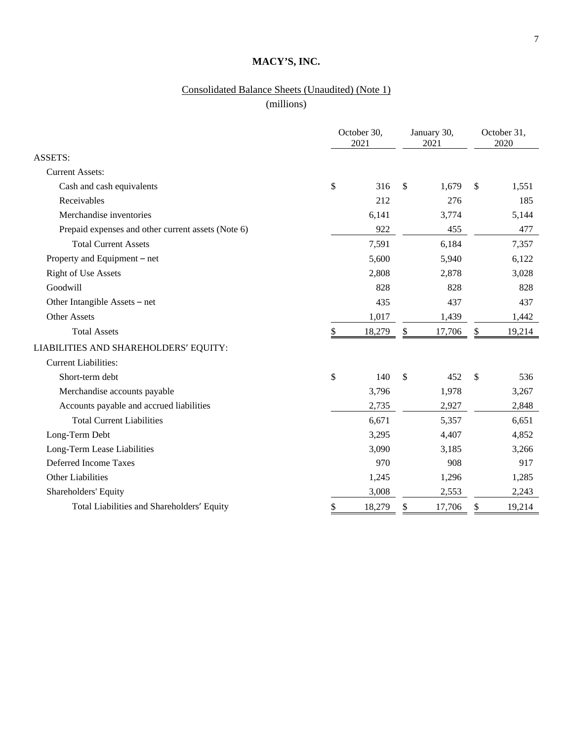# Consolidated Balance Sheets (Unaudited) (Note 1)

(millions)

|                                                    | October 30,<br>2021 |        | January 30,<br>2021 |               | October 31,<br>2020 |
|----------------------------------------------------|---------------------|--------|---------------------|---------------|---------------------|
| <b>ASSETS:</b>                                     |                     |        |                     |               |                     |
| <b>Current Assets:</b>                             |                     |        |                     |               |                     |
| Cash and cash equivalents                          | \$                  | 316    | \$<br>1,679         | $\mathbb{S}$  | 1,551               |
| Receivables                                        |                     | 212    | 276                 |               | 185                 |
| Merchandise inventories                            |                     | 6,141  | 3,774               |               | 5,144               |
| Prepaid expenses and other current assets (Note 6) |                     | 922    | 455                 |               | 477                 |
| <b>Total Current Assets</b>                        |                     | 7,591  | 6,184               |               | 7,357               |
| Property and Equipment – net                       |                     | 5,600  | 5,940               |               | 6,122               |
| <b>Right of Use Assets</b>                         |                     | 2,808  | 2,878               |               | 3,028               |
| Goodwill                                           |                     | 828    | 828                 |               | 828                 |
| Other Intangible Assets – net                      |                     | 435    | 437                 |               | 437                 |
| <b>Other Assets</b>                                |                     | 1,017  | 1,439               |               | 1,442               |
| <b>Total Assets</b>                                | \$                  | 18,279 | \$<br>17,706        | \$            | 19,214              |
| LIABILITIES AND SHAREHOLDERS' EQUITY:              |                     |        |                     |               |                     |
| <b>Current Liabilities:</b>                        |                     |        |                     |               |                     |
| Short-term debt                                    | \$                  | 140    | \$<br>452           | $\mathcal{S}$ | 536                 |
| Merchandise accounts payable                       |                     | 3,796  | 1,978               |               | 3,267               |
| Accounts payable and accrued liabilities           |                     | 2,735  | 2,927               |               | 2,848               |
| <b>Total Current Liabilities</b>                   |                     | 6,671  | 5,357               |               | 6,651               |
| Long-Term Debt                                     |                     | 3,295  | 4,407               |               | 4,852               |
| Long-Term Lease Liabilities                        |                     | 3,090  | 3,185               |               | 3,266               |
| Deferred Income Taxes                              |                     | 970    | 908                 |               | 917                 |
| Other Liabilities                                  |                     | 1,245  | 1,296               |               | 1,285               |
| Shareholders' Equity                               |                     | 3,008  | 2,553               |               | 2,243               |
| Total Liabilities and Shareholders' Equity         | \$                  | 18,279 | \$<br>17,706        | \$            | 19,214              |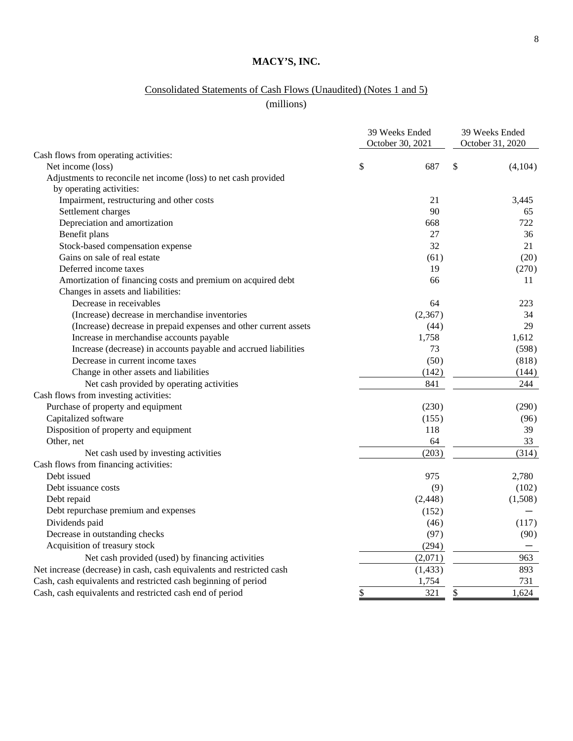# Consolidated Statements of Cash Flows (Unaudited) (Notes 1 and 5)

(millions)

|                                                                       | 39 Weeks Ended<br>October 30, 2021 | 39 Weeks Ended<br>October 31, 2020 |         |  |
|-----------------------------------------------------------------------|------------------------------------|------------------------------------|---------|--|
| Cash flows from operating activities:                                 |                                    |                                    |         |  |
| Net income (loss)                                                     | \$<br>687                          | \$                                 | (4,104) |  |
| Adjustments to reconcile net income (loss) to net cash provided       |                                    |                                    |         |  |
| by operating activities:                                              |                                    |                                    |         |  |
| Impairment, restructuring and other costs                             | 21                                 |                                    | 3,445   |  |
| Settlement charges                                                    | 90                                 |                                    | 65      |  |
| Depreciation and amortization                                         | 668                                |                                    | 722     |  |
| Benefit plans                                                         | 27                                 |                                    | 36      |  |
| Stock-based compensation expense                                      | 32                                 |                                    | 21      |  |
| Gains on sale of real estate                                          | (61)                               |                                    | (20)    |  |
| Deferred income taxes                                                 | 19                                 |                                    | (270)   |  |
| Amortization of financing costs and premium on acquired debt          | 66                                 |                                    | 11      |  |
| Changes in assets and liabilities:                                    |                                    |                                    |         |  |
| Decrease in receivables                                               | 64                                 |                                    | 223     |  |
| (Increase) decrease in merchandise inventories                        | (2,367)                            |                                    | 34      |  |
| (Increase) decrease in prepaid expenses and other current assets      | (44)                               |                                    | 29      |  |
| Increase in merchandise accounts payable                              | 1,758                              |                                    | 1,612   |  |
| Increase (decrease) in accounts payable and accrued liabilities       | 73                                 |                                    | (598)   |  |
| Decrease in current income taxes                                      | (50)                               |                                    | (818)   |  |
| Change in other assets and liabilities                                | (142)                              |                                    | (144)   |  |
| Net cash provided by operating activities                             | 841                                |                                    | 244     |  |
| Cash flows from investing activities:                                 |                                    |                                    |         |  |
| Purchase of property and equipment                                    | (230)                              |                                    | (290)   |  |
| Capitalized software                                                  | (155)                              |                                    | (96)    |  |
| Disposition of property and equipment                                 | 118                                |                                    | 39      |  |
| Other, net                                                            | 64                                 |                                    | 33      |  |
| Net cash used by investing activities                                 | (203)                              |                                    | (314)   |  |
| Cash flows from financing activities:                                 |                                    |                                    |         |  |
| Debt issued                                                           | 975                                |                                    | 2,780   |  |
| Debt issuance costs                                                   | (9)                                |                                    | (102)   |  |
| Debt repaid                                                           | (2, 448)                           |                                    | (1,508) |  |
| Debt repurchase premium and expenses                                  | (152)                              |                                    |         |  |
| Dividends paid                                                        | (46)                               |                                    | (117)   |  |
| Decrease in outstanding checks                                        | (97)                               |                                    | (90)    |  |
| Acquisition of treasury stock                                         | (294)                              |                                    |         |  |
| Net cash provided (used) by financing activities                      | (2,071)                            |                                    | 963     |  |
| Net increase (decrease) in cash, cash equivalents and restricted cash | (1, 433)                           |                                    | 893     |  |
| Cash, cash equivalents and restricted cash beginning of period        | 1,754                              |                                    | 731     |  |
| Cash, cash equivalents and restricted cash end of period              | \$<br>321                          | \$                                 | 1,624   |  |
|                                                                       |                                    |                                    |         |  |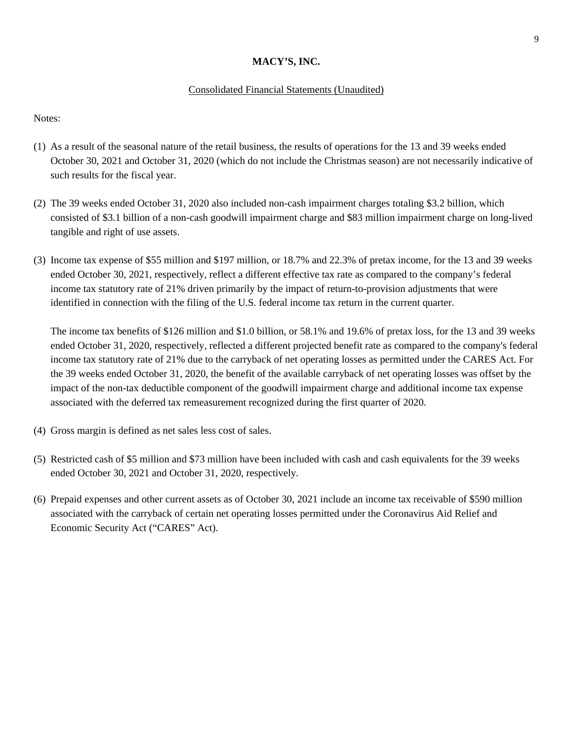#### Consolidated Financial Statements (Unaudited)

Notes:

- (1) As a result of the seasonal nature of the retail business, the results of operations for the 13 and 39 weeks ended October 30, 2021 and October 31, 2020 (which do not include the Christmas season) are not necessarily indicative of such results for the fiscal year.
- (2) The 39 weeks ended October 31, 2020 also included non-cash impairment charges totaling \$3.2 billion, which consisted of \$3.1 billion of a non-cash goodwill impairment charge and \$83 million impairment charge on long-lived tangible and right of use assets.
- (3) Income tax expense of \$55 million and \$197 million, or 18.7% and 22.3% of pretax income, for the 13 and 39 weeks ended October 30, 2021, respectively, reflect a different effective tax rate as compared to the company's federal income tax statutory rate of 21% driven primarily by the impact of return-to-provision adjustments that were identified in connection with the filing of the U.S. federal income tax return in the current quarter.

The income tax benefits of \$126 million and \$1.0 billion, or 58.1% and 19.6% of pretax loss, for the 13 and 39 weeks ended October 31, 2020, respectively, reflected a different projected benefit rate as compared to the company's federal income tax statutory rate of 21% due to the carryback of net operating losses as permitted under the CARES Act. For the 39 weeks ended October 31, 2020, the benefit of the available carryback of net operating losses was offset by the impact of the non-tax deductible component of the goodwill impairment charge and additional income tax expense associated with the deferred tax remeasurement recognized during the first quarter of 2020.

- (4) Gross margin is defined as net sales less cost of sales.
- (5) Restricted cash of \$5 million and \$73 million have been included with cash and cash equivalents for the 39 weeks ended October 30, 2021 and October 31, 2020, respectively.
- (6) Prepaid expenses and other current assets as of October 30, 2021 include an income tax receivable of \$590 million associated with the carryback of certain net operating losses permitted under the Coronavirus Aid Relief and Economic Security Act ("CARES" Act).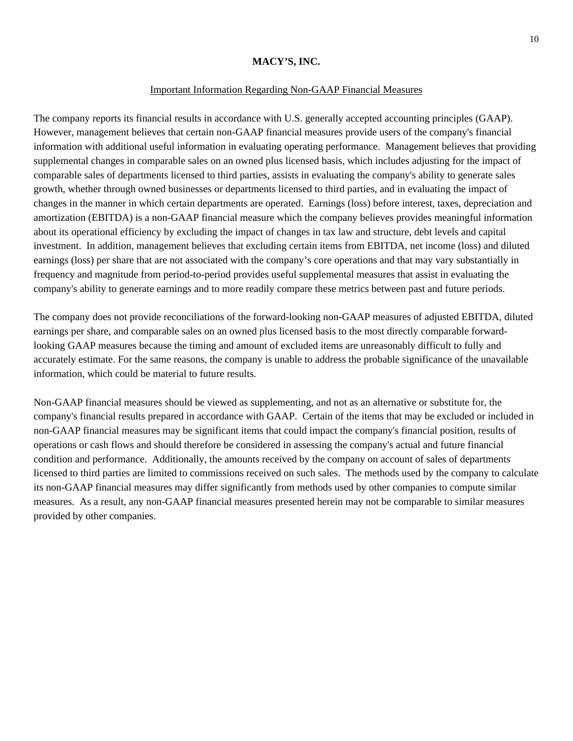#### Important Information Regarding Non-GAAP Financial Measures

The company reports its financial results in accordance with U.S. generally accepted accounting principles (GAAP). However, management believes that certain non-GAAP financial measures provide users of the company's financial information with additional useful information in evaluating operating performance. Management believes that providing supplemental changes in comparable sales on an owned plus licensed basis, which includes adjusting for the impact of comparable sales of departments licensed to third parties, assists in evaluating the company's ability to generate sales growth, whether through owned businesses or departments licensed to third parties, and in evaluating the impact of changes in the manner in which certain departments are operated. Earnings (loss) before interest, taxes, depreciation and amortization (EBITDA) is a non-GAAP financial measure which the company believes provides meaningful information about its operational efficiency by excluding the impact of changes in tax law and structure, debt levels and capital investment. In addition, management believes that excluding certain items from EBITDA, net income (loss) and diluted earnings (loss) per share that are not associated with the company's core operations and that may vary substantially in frequency and magnitude from period-to-period provides useful supplemental measures that assist in evaluating the company's ability to generate earnings and to more readily compare these metrics between past and future periods.

The company does not provide reconciliations of the forward-looking non-GAAP measures of adjusted EBITDA, diluted earnings per share, and comparable sales on an owned plus licensed basis to the most directly comparable forwardlooking GAAP measures because the timing and amount of excluded items are unreasonably difficult to fully and accurately estimate. For the same reasons, the company is unable to address the probable significance of the unavailable information, which could be material to future results.

Non-GAAP financial measures should be viewed as supplementing, and not as an alternative or substitute for, the company's financial results prepared in accordance with GAAP. Certain of the items that may be excluded or included in non-GAAP financial measures may be significant items that could impact the company's financial position, results of operations or cash flows and should therefore be considered in assessing the company's actual and future financial condition and performance. Additionally, the amounts received by the company on account of sales of departments licensed to third parties are limited to commissions received on such sales. The methods used by the company to calculate its non-GAAP financial measures may differ significantly from methods used by other companies to compute similar measures. As a result, any non-GAAP financial measures presented herein may not be comparable to similar measures provided by other companies.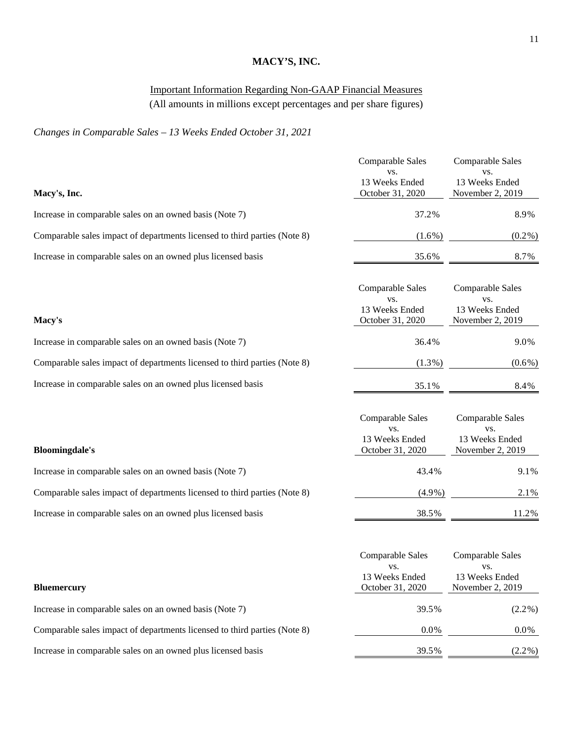# Important Information Regarding Non-GAAP Financial Measures

(All amounts in millions except percentages and per share figures)

# *Changes in Comparable Sales – 13 Weeks Ended October 31, 2021*

|                                                                           | Comparable Sales<br>VS.                                       | Comparable Sales<br>VS.                                       |
|---------------------------------------------------------------------------|---------------------------------------------------------------|---------------------------------------------------------------|
| Macy's, Inc.                                                              | 13 Weeks Ended<br>October 31, 2020                            | 13 Weeks Ended<br>November 2, 2019                            |
| Increase in comparable sales on an owned basis (Note 7)                   | 37.2%                                                         | 8.9%                                                          |
| Comparable sales impact of departments licensed to third parties (Note 8) | $(1.6\%)$                                                     | $(0.2\%)$                                                     |
| Increase in comparable sales on an owned plus licensed basis              | 35.6%                                                         | 8.7%                                                          |
| Macy's                                                                    | Comparable Sales<br>VS.<br>13 Weeks Ended<br>October 31, 2020 | Comparable Sales<br>VS.<br>13 Weeks Ended<br>November 2, 2019 |
| Increase in comparable sales on an owned basis (Note 7)                   | 36.4%                                                         | 9.0%                                                          |
| Comparable sales impact of departments licensed to third parties (Note 8) | $(1.3\%)$                                                     | $(0.6\%)$                                                     |
| Increase in comparable sales on an owned plus licensed basis              | 35.1%                                                         | 8.4%                                                          |
| <b>Bloomingdale's</b>                                                     | Comparable Sales<br>VS.<br>13 Weeks Ended<br>October 31, 2020 | Comparable Sales<br>VS.<br>13 Weeks Ended<br>November 2, 2019 |
| Increase in comparable sales on an owned basis (Note 7)                   | 43.4%                                                         | 9.1%                                                          |
| Comparable sales impact of departments licensed to third parties (Note 8) | $(4.9\%)$                                                     | 2.1%                                                          |
| Increase in comparable sales on an owned plus licensed basis              | 38.5%                                                         | 11.2%                                                         |
| <b>Bluemercury</b>                                                        | Comparable Sales<br>VS.<br>13 Weeks Ended<br>October 31, 2020 | Comparable Sales<br>VS.<br>13 Weeks Ended<br>November 2, 2019 |
| Increase in comparable sales on an owned basis (Note 7)                   | 39.5%                                                         | $(2.2\%)$                                                     |
| Comparable sales impact of departments licensed to third parties (Note 8) | $0.0\%$                                                       | $0.0\%$                                                       |
| Increase in comparable sales on an owned plus licensed basis              | 39.5%                                                         | $(2.2\%)$                                                     |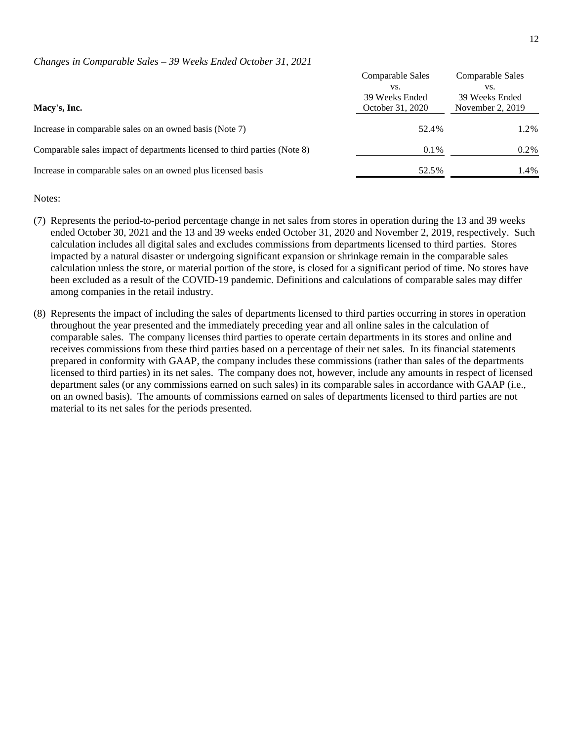#### *Changes in Comparable Sales – 39 Weeks Ended October 31, 2021*

|                                                                           | Comparable Sales      | Comparable Sales      |
|---------------------------------------------------------------------------|-----------------------|-----------------------|
|                                                                           | VS.<br>39 Weeks Ended | VS.<br>39 Weeks Ended |
| Macy's, Inc.                                                              | October 31, 2020      | November $2, 2019$    |
| Increase in comparable sales on an owned basis (Note 7)                   | 52.4%                 | 1.2%                  |
| Comparable sales impact of departments licensed to third parties (Note 8) | $0.1\%$               | $0.2\%$               |
| Increase in comparable sales on an owned plus licensed basis              | 52.5%                 | 1.4%                  |

#### Notes:

- (7) Represents the period-to-period percentage change in net sales from stores in operation during the 13 and 39 weeks ended October 30, 2021 and the 13 and 39 weeks ended October 31, 2020 and November 2, 2019, respectively. Such calculation includes all digital sales and excludes commissions from departments licensed to third parties. Stores impacted by a natural disaster or undergoing significant expansion or shrinkage remain in the comparable sales calculation unless the store, or material portion of the store, is closed for a significant period of time. No stores have been excluded as a result of the COVID-19 pandemic. Definitions and calculations of comparable sales may differ among companies in the retail industry.
- (8) Represents the impact of including the sales of departments licensed to third parties occurring in stores in operation throughout the year presented and the immediately preceding year and all online sales in the calculation of comparable sales. The company licenses third parties to operate certain departments in its stores and online and receives commissions from these third parties based on a percentage of their net sales. In its financial statements prepared in conformity with GAAP, the company includes these commissions (rather than sales of the departments licensed to third parties) in its net sales. The company does not, however, include any amounts in respect of licensed department sales (or any commissions earned on such sales) in its comparable sales in accordance with GAAP (i.e., on an owned basis). The amounts of commissions earned on sales of departments licensed to third parties are not material to its net sales for the periods presented.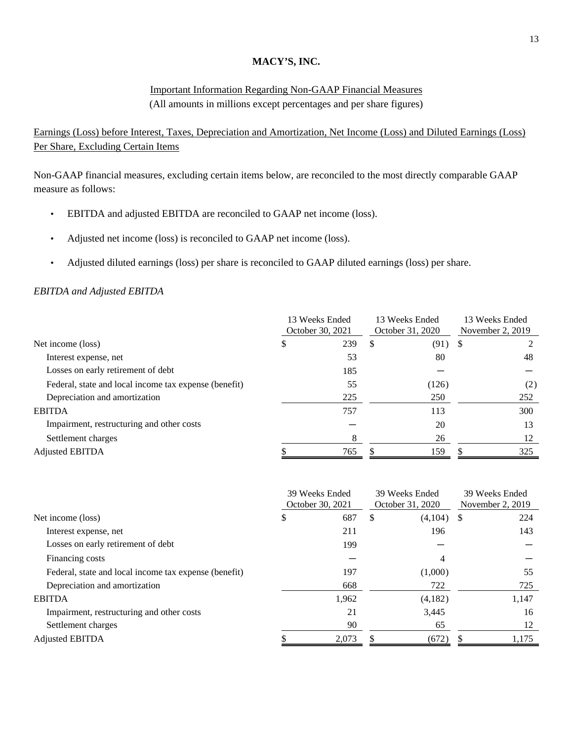## Important Information Regarding Non-GAAP Financial Measures (All amounts in millions except percentages and per share figures)

Earnings (Loss) before Interest, Taxes, Depreciation and Amortization, Net Income (Loss) and Diluted Earnings (Loss) Per Share, Excluding Certain Items

Non-GAAP financial measures, excluding certain items below, are reconciled to the most directly comparable GAAP measure as follows:

- EBITDA and adjusted EBITDA are reconciled to GAAP net income (loss).
- Adjusted net income (loss) is reconciled to GAAP net income (loss).
- Adjusted diluted earnings (loss) per share is reconciled to GAAP diluted earnings (loss) per share.

#### *EBITDA and Adjusted EBITDA*

|                                                       |   | 13 Weeks Ended<br>October 30, 2021 |   | 13 Weeks Ended<br>October 31, 2020 | 13 Weeks Ended<br>November 2, 2019 |     |  |
|-------------------------------------------------------|---|------------------------------------|---|------------------------------------|------------------------------------|-----|--|
| Net income (loss)                                     | S | 239                                | S | $(91)$ \$                          |                                    |     |  |
| Interest expense, net                                 |   | 53                                 |   | 80                                 |                                    | 48  |  |
| Losses on early retirement of debt                    |   | 185                                |   |                                    |                                    |     |  |
| Federal, state and local income tax expense (benefit) |   | 55                                 |   | (126)                              |                                    | (2) |  |
| Depreciation and amortization                         |   | 225                                |   | 250                                |                                    | 252 |  |
| <b>EBITDA</b>                                         |   | 757                                |   | 113                                |                                    | 300 |  |
| Impairment, restructuring and other costs             |   |                                    |   | 20                                 |                                    | 13  |  |
| Settlement charges                                    |   | 8                                  |   | 26                                 |                                    | 12  |  |
| Adjusted EBITDA                                       |   | 765                                |   | 159                                |                                    | 325 |  |

|                                                       |   | 39 Weeks Ended<br>October 30, 2021 |   | 39 Weeks Ended<br>October 31, 2020 | 39 Weeks Ended<br>November 2, 2019 |       |  |
|-------------------------------------------------------|---|------------------------------------|---|------------------------------------|------------------------------------|-------|--|
| Net income (loss)                                     | P | 687                                | S | (4,104)                            | <sup>S</sup>                       | 224   |  |
| Interest expense, net                                 |   | 211                                |   | 196                                |                                    | 143   |  |
| Losses on early retirement of debt                    |   | 199                                |   |                                    |                                    |       |  |
| Financing costs                                       |   |                                    |   | 4                                  |                                    |       |  |
| Federal, state and local income tax expense (benefit) |   | 197                                |   | (1,000)                            |                                    | 55    |  |
| Depreciation and amortization                         |   | 668                                |   | 722                                |                                    | 725   |  |
| <b>EBITDA</b>                                         |   | 1,962                              |   | (4,182)                            |                                    | 1,147 |  |
| Impairment, restructuring and other costs             |   | 21                                 |   | 3,445                              |                                    | 16    |  |
| Settlement charges                                    |   | 90                                 |   | 65                                 |                                    | 12    |  |
| <b>Adjusted EBITDA</b>                                |   | 2,073                              |   | (672)                              |                                    | 1,175 |  |